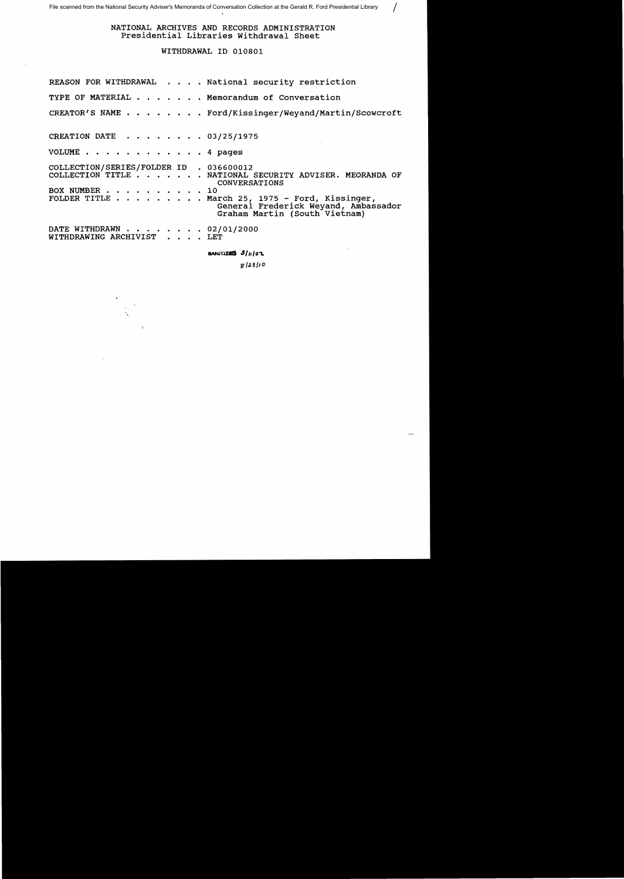File scanned from the National Security Adviser's Memoranda of Conversation Collection at the Gerald R. Ford Presidential Library

NATIONAL ARCHIVES AND RECORDS ADMINISTRATION Presidential Libraries withdrawal Sheet

I

WITHDRAWAL ID 010801

REASON FOR WITHDRAWAL . . . . National security restriction TYPE OF MATERIAL . . . . . . Memorandum of Conversation CREATOR'S NAME . . . . . . . . Ford/Kissinger/Weyand/Martin/Scowcroft CREATION DATE  $\cdots$   $\cdots$  03/25/1975 VOLUME . . . . . . . . . . . . 4 pages COLLECTION/SERIES/FOLDER ID . 036600012 COLLECTION TITLE ...•. NATIONAL SECURITY ADVISER. MEORANDA OF CONVERSATIONS<br>10 BOX NUMBER . . . . . . . . . .<br>FOLDER TITLE . . . . . . . . EOX NUMBER . . . . . . . . . . . 10<br>FOLDER TITLE . . . . . . . . . . March 25, 1975 - Ford, Kissinger,<br>General Frederick Weyand, Ambassador Graham Martin (South Vietnam) DATE WITHDRAWN . . . . . . . . 02/01/2000<br>WITHDRAWING ARCHIVIST . . . . LET WITHDRAWING ARCHIVIST

**&Al\Unzsta .3/11** I<sup>0</sup>'l..

~/3.31ID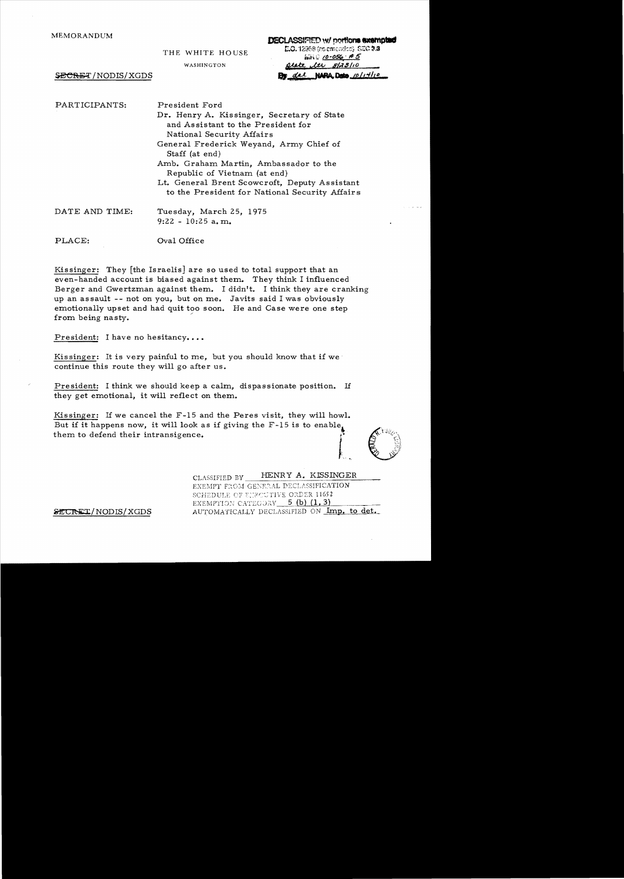## MEMORANDUM

#### **DECLASSIFIED w/ nortions exempted**

THE WHITE HOUSE

WASHINGTON

SECRET/NODIS/XGDS

**E.O.** 12958 (as emended) SEC 3.3  $i\#K$  : 10-056  $\cdot$  #5 *1J:!J1&...{t:t.t* 4,J.5/10 By dal NARA Date 10/14/10

PARTICIPANTS: President Ford Dr. Henry A. Kissinger, Secretary of State and Assistant to the President for National Security Affairs General Frederick Weyand, Army Chief of Staff (at end) Amb. Graham Martin, Ambassador to the Republic of Vietnam (at end) Lt. General Brent Scowcroft, Deputy Assistant to the President for National Security Affair s DATE AND TIME: Tuesday, March 25, 1975  $9:22 - 10:25$  a.m.

PLACE: Oval Office

Kissinger: They [the Israelis] are so used to total support that an even-handed account is biased against them. They think I influenced Berger and Gwertzman against them. I didn't. I think they are cranking up an assault -- not on you, but on me. Javits said I was obviously emotionally upset and had quit too soon. He and Case were one step from being nasty.

President: I have no hesitancy....

Kissinger: It is very painful to me, but you should know that if we' continue this route they will go after us.

President: I think we should keep a calm, dispassionate position. If they get emotional, it will reflect on them.

Kissinger: If we cancel the F-15 and the Peres visit, they will howl. But if it happens now, it will look as if giving the F-15 is to enable, them to defend their intransigence.



CLASSIFIED BY HENRY A. KISSINGER EXEMPT FROM GENERAL DECLASSIFICATION SCHEDULE OF ENROUTIVE ORDER 11652 EXEMPTION CATEGORY  $5$  (b)  $(1,3)$ . SECRET/NODIS/XGDS AUTOMATICALLY DECLASSIFIED ON Imp. to det.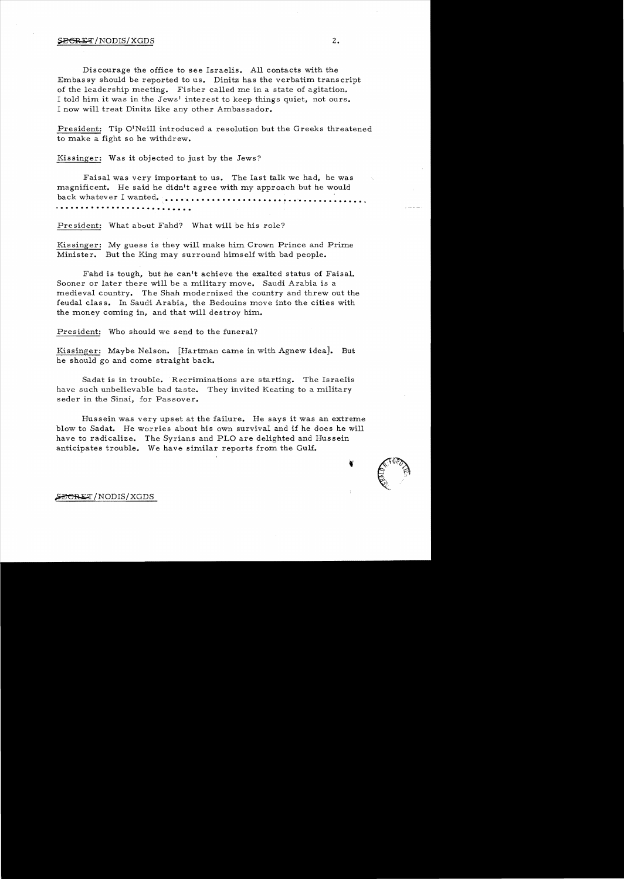#### $\texttt{S}\texttt{P}\texttt{GRET}/\text{NODIS}/\text{XGDS}$  2.

Discourage the office to see Israelis. All contacts with the Embassy should be reported to us. Dinitz has the verbatim transcript of the leadership meeting. Fisher called me in a state of agitation. I told him it was in the Jews' interest to keep things quiet, not ours. I now will treat Dinitz like any other Ambassador.

President: Tip O'Neill introduced a resolution but the Greeks threatened to make a fight so he withdrew.

Kissinger: Was it objected to just by the Jews?

Faisal was very important to us. The last talk we had, he was magnificent. He said he didn't agree with my approach but he would back whatever I wanted. " ....'., .................. ~ .**............... ..** <sup>~</sup>. . . . . . .. . . . . . . . . ... . . . . . . .

President: What about Fahd? What will be his role?

Kissinger: My guess is they will make him Crown Prince and Prime Minister. But the King may surround himself with bad people.

Fahd is tough, but he can't achieve the exalted status of Faisal. Sooner or later there will be a military move. Saudi Arabia is a medieval country. The Shah modernized the country and threw out the feudal cIass. In Saudi Arabia, the Bedouins move into the cities with the money coming in, and that will destroy him.

President: Who should we send to the funeral?

Kissinger: Maybe Nelson. [Hartman came in with Agnew idea]. But he should go and come straight back.

Sadat is in trouble. Recriminations are starting. The Israelis have such unbelievable bad taste. They invited Keating to a military seder in the Sinai, for Passover.

Hussein was very upset at the failure. He says it was an extreme blow to Sadat. He worries about his own survival and if he does he will have to radicalize. The Syrians and PLO are delighted and Hussein anticipates trouble. We have similar reports from the Gulf.

#### SECRET/NODIS/XGDS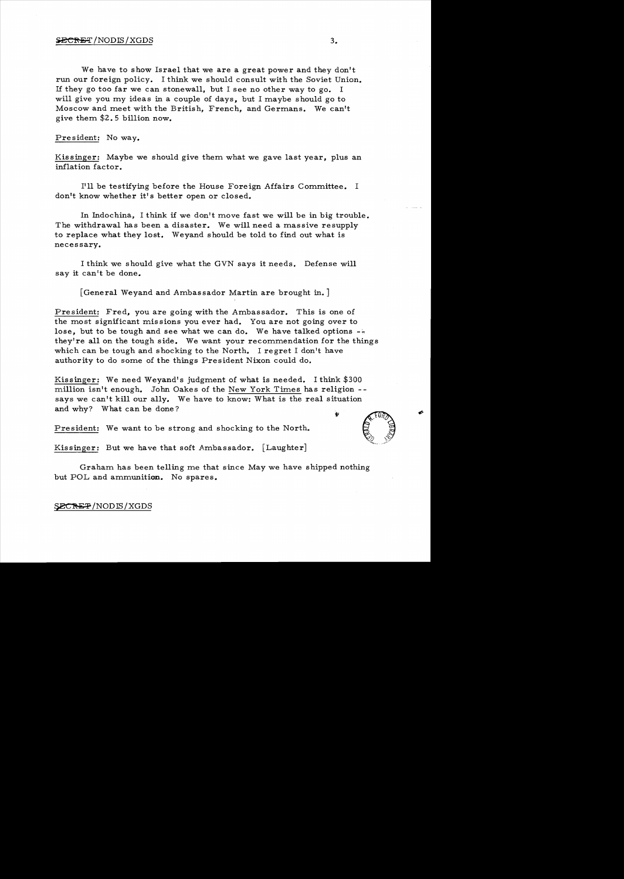We have to show Israel that we are a great power and they don't run our foreign policy. I think we should consult with the Soviet Union. If they go too far we can stonewall, but I see no other way to go. I will give you my ideas in a couple of days, but I maybe should go to Moscow and meet with the British, French, and Germans. We can't give them \$2.5 billion now.

President: No way.

Kissinger: Maybe we should give them what we gave last year, plus an inflation factor.

I'll be testifying before the House Foreign Affairs Committee. I don't know whether it's better open or closed.

In Indochina, I think if we don't move fast we will be in big trouble. The withdrawal has been a disaster. We will need a massive resupply to replace what they lost. Weyand should be told to find out what is necessary.

I think we should give what the GVN says it needs. Defense will say it can't be done.

[General Weyand and Ambassador Martin are brought in.]

President: Fred, you are going with the Ambassador. This is one of the most significant missions you ever had. You are not going over to lose, but to be tough and see what we can do. We have talked options  $-\frac{1}{2}$ they're all on the tough side. We want your recommendation for the things which can be tough and shocking to the North. I regret I don't have authority to do some of the things President Nixon could do.

Kissinger: We need Weyand's judgment of what is needed. I think \$300 million isn't enough. John Oakes of the New York Times has religion says we can't kill our ally. We have to know: What is the real situation and why? What can be done?

President: We want to be strong and shocking to the North.



Kissinger: But we have that soft Ambassador. [Laughter]

Graham has been telling me that since May we have shipped nothing but POL and ammunition. No spares.

#### SECREP/NODIS/XGDS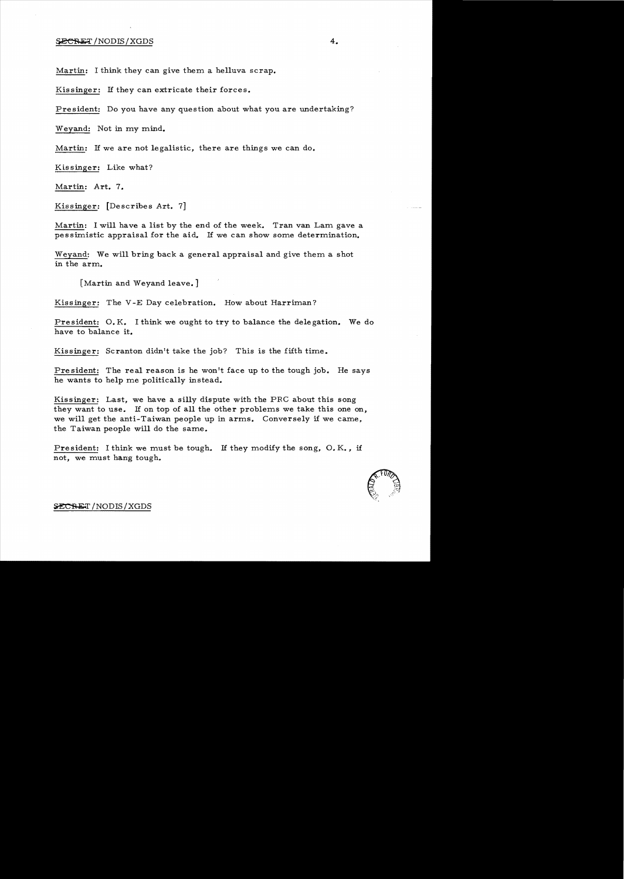### $SECHET/NODIS/XGDS$  4.

Martin: I think they can give them a helluva scrap.

Kissinger: If they can extricate their forces.

President: Do you have any question about what you are undertaking?

Weyand: Not in my mind.

Martin: If we are not legalistic, there are things we can do.

Kissinger: Like what?

Martin: Art. 7.

Kissinger: [Describes Art. 7]

Martin: I will have a list by the end of the week. Tran van Lam gave a pessimistic appraisal for the aid. If we can show some determination.

Weyand: We will bring back a general appraisal and give them a shot in the arm.

[Martin and Weyand leave. ]

Kissinger: The V -E Day celebration. How about Harriman?

President: O. K. I think we ought to try to balance the delegation. We do have to balance it.

Kissinger: Scranton didn't take the job? This is the fifth time.

President: The real reason is he won't face up to the tough job. He says he wants to help me politically instead.

Kissinger: Last, we have a silly dispute with the PRC about this song they want to use. If on top of all the other problems we take this one on, we will get the anti-Taiwan people up in arms. Conversely if we came, the Taiwan people will do the same.

President: I think we must be tough. If they modify the song, O. K., if not, we must hang tough.



#### SECRET/NODIS/XGDS